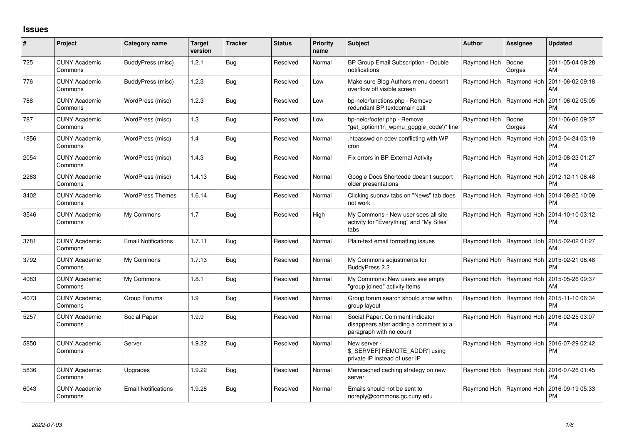## **Issues**

| #    | Project                         | Category name              | <b>Target</b><br>version | <b>Tracker</b> | <b>Status</b> | <b>Priority</b><br>name | Subject                                                                                              | <b>Author</b> | <b>Assignee</b>           | <b>Updated</b>                |
|------|---------------------------------|----------------------------|--------------------------|----------------|---------------|-------------------------|------------------------------------------------------------------------------------------------------|---------------|---------------------------|-------------------------------|
| 725  | <b>CUNY Academic</b><br>Commons | BuddyPress (misc)          | 1.2.1                    | <b>Bug</b>     | Resolved      | Normal                  | BP Group Email Subscription - Double<br>notifications                                                | Raymond Hoh   | Boone<br>Gorges           | 2011-05-04 09:28<br>AM        |
| 776  | <b>CUNY Academic</b><br>Commons | BuddyPress (misc)          | 1.2.3                    | Bua            | Resolved      | Low                     | Make sure Blog Authors menu doesn't<br>overflow off visible screen                                   | Raymond Hoh   | Raymond Hoh               | 2011-06-02 09:18<br>AM        |
| 788  | <b>CUNY Academic</b><br>Commons | WordPress (misc)           | 1.2.3                    | Bua            | Resolved      | Low                     | bp-nelo/functions.php - Remove<br>redundant BP textdomain call                                       |               | Raymond Hoh   Raymond Hoh | 2011-06-02 05:05<br><b>PM</b> |
| 787  | <b>CUNY Academic</b><br>Commons | WordPress (misc)           | 1.3                      | Bug            | Resolved      | Low                     | bp-nelo/footer.php - Remove<br>"get_option('tn_wpmu_goggle_code')" line                              | Raymond Hoh   | Boone<br>Gorges           | 2011-06-06 09:37<br>AM        |
| 1856 | <b>CUNY Academic</b><br>Commons | WordPress (misc)           | 1.4                      | Bug            | Resolved      | Normal                  | htpasswd on cdev conflicting with WP<br>cron                                                         |               | Raymond Hoh   Raymond Hoh | 2012-04-24 03:19<br><b>PM</b> |
| 2054 | <b>CUNY Academic</b><br>Commons | WordPress (misc)           | 1.4.3                    | Bug            | Resolved      | Normal                  | Fix errors in BP External Activity                                                                   |               | Raymond Hoh   Raymond Hoh | 2012-08-23 01:27<br><b>PM</b> |
| 2263 | <b>CUNY Academic</b><br>Commons | WordPress (misc)           | 1.4.13                   | Bug            | Resolved      | Normal                  | Google Docs Shortcode doesn't support<br>older presentations                                         |               | Raymond Hoh   Raymond Hoh | 2012-12-11 06:48<br><b>PM</b> |
| 3402 | <b>CUNY Academic</b><br>Commons | <b>WordPress Themes</b>    | 1.6.14                   | Bug            | Resolved      | Normal                  | Clicking subnav tabs on "News" tab does<br>not work                                                  |               | Raymond Hoh   Raymond Hoh | 2014-08-25 10:09<br><b>PM</b> |
| 3546 | <b>CUNY Academic</b><br>Commons | My Commons                 | 1.7                      | <b>Bug</b>     | Resolved      | High                    | My Commons - New user sees all site<br>activity for "Everything" and "My Sites"<br>tabs              |               | Raymond Hoh   Raymond Hoh | 2014-10-10 03:12<br><b>PM</b> |
| 3781 | <b>CUNY Academic</b><br>Commons | <b>Email Notifications</b> | 1.7.11                   | Bug            | Resolved      | Normal                  | Plain-text email formatting issues                                                                   |               | Raymond Hoh   Raymond Hoh | 2015-02-02 01:27<br>AM        |
| 3792 | <b>CUNY Academic</b><br>Commons | My Commons                 | 1.7.13                   | Bug            | Resolved      | Normal                  | My Commons adjustments for<br>BuddyPress 2.2                                                         |               | Raymond Hoh   Raymond Hoh | 2015-02-21 06:48<br><b>PM</b> |
| 4083 | <b>CUNY Academic</b><br>Commons | My Commons                 | 1.8.1                    | <b>Bug</b>     | Resolved      | Normal                  | My Commons: New users see empty<br>'group joined" activity items                                     |               | Raymond Hoh   Raymond Hoh | 2015-05-26 09:37<br>AM        |
| 4073 | <b>CUNY Academic</b><br>Commons | Group Forums               | 1.9                      | <b>Bug</b>     | Resolved      | Normal                  | Group forum search should show within<br>group layout                                                |               | Raymond Hoh   Raymond Hoh | 2015-11-10 06:34<br><b>PM</b> |
| 5257 | <b>CUNY Academic</b><br>Commons | Social Paper               | 1.9.9                    | <b>Bug</b>     | Resolved      | Normal                  | Social Paper: Comment indicator<br>disappears after adding a comment to a<br>paragraph with no count |               | Raymond Hoh   Raymond Hoh | 2016-02-25 03:07<br><b>PM</b> |
| 5850 | <b>CUNY Academic</b><br>Commons | Server                     | 1.9.22                   | <b>Bug</b>     | Resolved      | Normal                  | New server -<br>\$_SERVER['REMOTE_ADDR'] using<br>private IP instead of user IP                      |               | Raymond Hoh   Raymond Hoh | 2016-07-29 02:42<br><b>PM</b> |
| 5836 | <b>CUNY Academic</b><br>Commons | Upgrades                   | 1.9.22                   | Bug            | Resolved      | Normal                  | Memcached caching strategy on new<br>server                                                          | Raymond Hoh   | Raymond Hoh               | 2016-07-26 01:45<br><b>PM</b> |
| 6043 | <b>CUNY Academic</b><br>Commons | <b>Email Notifications</b> | 1.9.28                   | Bug            | Resolved      | Normal                  | Emails should not be sent to<br>noreply@commons.gc.cuny.edu                                          | Raymond Hoh   | Raymond Hoh               | 2016-09-19 05:33<br><b>PM</b> |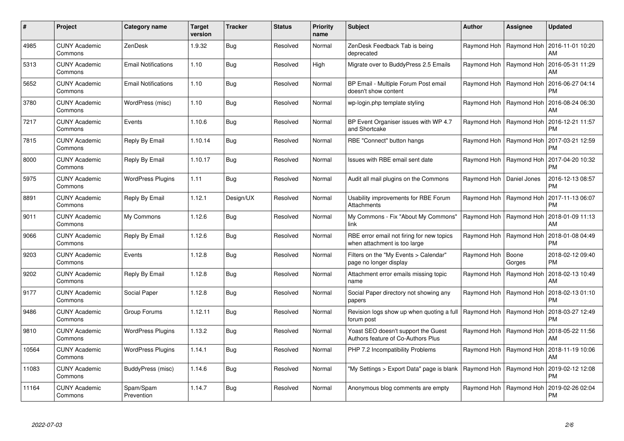| #     | Project                         | <b>Category name</b>       | <b>Target</b><br>version | <b>Tracker</b> | <b>Status</b> | <b>Priority</b><br>name | <b>Subject</b>                                                            | <b>Author</b>              | <b>Assignee</b>           | <b>Updated</b>                |
|-------|---------------------------------|----------------------------|--------------------------|----------------|---------------|-------------------------|---------------------------------------------------------------------------|----------------------------|---------------------------|-------------------------------|
| 4985  | <b>CUNY Academic</b><br>Commons | ZenDesk                    | 1.9.32                   | Bug            | Resolved      | Normal                  | ZenDesk Feedback Tab is being<br>deprecated                               | Raymond Hoh                | Raymond Hoh               | 2016-11-01 10:20<br>AM        |
| 5313  | <b>CUNY Academic</b><br>Commons | <b>Email Notifications</b> | 1.10                     | Bug            | Resolved      | High                    | Migrate over to BuddyPress 2.5 Emails                                     | Raymond Hoh                | Raymond Hoh               | 2016-05-31 11:29<br>AM        |
| 5652  | <b>CUNY Academic</b><br>Commons | <b>Email Notifications</b> | 1.10                     | <b>Bug</b>     | Resolved      | Normal                  | BP Email - Multiple Forum Post email<br>doesn't show content              | Raymond Hoh                | Raymond Hoh               | 2016-06-27 04:14<br><b>PM</b> |
| 3780  | CUNY Academic<br>Commons        | WordPress (misc)           | 1.10                     | Bug            | Resolved      | Normal                  | wp-login.php template styling                                             | Raymond Hoh                | Raymond Hoh               | 2016-08-24 06:30<br>AM        |
| 7217  | <b>CUNY Academic</b><br>Commons | Events                     | 1.10.6                   | <b>Bug</b>     | Resolved      | Normal                  | BP Event Organiser issues with WP 4.7<br>and Shortcake                    | Raymond Hoh   Raymond Hoh  |                           | 2016-12-21 11:57<br><b>PM</b> |
| 7815  | <b>CUNY Academic</b><br>Commons | Reply By Email             | 1.10.14                  | Bug            | Resolved      | Normal                  | RBE "Connect" button hangs                                                | Raymond Hoh                | Raymond Hoh               | 2017-03-21 12:59<br><b>PM</b> |
| 8000  | <b>CUNY Academic</b><br>Commons | Reply By Email             | 1.10.17                  | <b>Bug</b>     | Resolved      | Normal                  | Issues with RBE email sent date                                           | Raymond Hoh                | Raymond Hoh               | 2017-04-20 10:32<br><b>PM</b> |
| 5975  | <b>CUNY Academic</b><br>Commons | <b>WordPress Plugins</b>   | 1.11                     | Bug            | Resolved      | Normal                  | Audit all mail plugins on the Commons                                     | Raymond Hoh   Daniel Jones |                           | 2016-12-13 08:57<br><b>PM</b> |
| 8891  | <b>CUNY Academic</b><br>Commons | Reply By Email             | 1.12.1                   | Design/UX      | Resolved      | Normal                  | Usability improvements for RBE Forum<br>Attachments                       |                            | Raymond Hoh   Raymond Hoh | 2017-11-13 06:07<br><b>PM</b> |
| 9011  | <b>CUNY Academic</b><br>Commons | My Commons                 | 1.12.6                   | Bug            | Resolved      | Normal                  | My Commons - Fix "About My Commons"<br>link                               | Raymond Hoh                | Raymond Hoh               | 2018-01-09 11:13<br>AM        |
| 9066  | <b>CUNY Academic</b><br>Commons | Reply By Email             | 1.12.6                   | Bug            | Resolved      | Normal                  | RBE error email not firing for new topics<br>when attachment is too large | Raymond Hoh                | Raymond Hoh               | 2018-01-08 04:49<br><b>PM</b> |
| 9203  | <b>CUNY Academic</b><br>Commons | Events                     | 1.12.8                   | <b>Bug</b>     | Resolved      | Normal                  | Filters on the "My Events > Calendar"<br>page no longer display           | Raymond Hoh                | Boone<br>Gorges           | 2018-02-12 09:40<br><b>PM</b> |
| 9202  | <b>CUNY Academic</b><br>Commons | Reply By Email             | 1.12.8                   | Bug            | Resolved      | Normal                  | Attachment error emails missing topic<br>name                             | Raymond Hoh                | Raymond Hoh               | 2018-02-13 10:49<br>AM        |
| 9177  | <b>CUNY Academic</b><br>Commons | Social Paper               | 1.12.8                   | Bug            | Resolved      | Normal                  | Social Paper directory not showing any<br>papers                          | Raymond Hoh                | Raymond Hoh               | 2018-02-13 01:10<br><b>PM</b> |
| 9486  | <b>CUNY Academic</b><br>Commons | Group Forums               | 1.12.11                  | <b>Bug</b>     | Resolved      | Normal                  | Revision logs show up when quoting a full<br>forum post                   | Raymond Hoh                | Raymond Hoh               | 2018-03-27 12:49<br><b>PM</b> |
| 9810  | <b>CUNY Academic</b><br>Commons | <b>WordPress Plugins</b>   | 1.13.2                   | Bug            | Resolved      | Normal                  | Yoast SEO doesn't support the Guest<br>Authors feature of Co-Authors Plus |                            | Raymond Hoh   Raymond Hoh | 2018-05-22 11:56<br>AM        |
| 10564 | <b>CUNY Academic</b><br>Commons | <b>WordPress Plugins</b>   | 1.14.1                   | <b>Bug</b>     | Resolved      | Normal                  | PHP 7.2 Incompatibility Problems                                          |                            | Raymond Hoh   Raymond Hoh | 2018-11-19 10:06<br>AM        |
| 11083 | <b>CUNY Academic</b><br>Commons | BuddyPress (misc)          | 1.14.6                   | Bug            | Resolved      | Normal                  | "My Settings > Export Data" page is blank                                 | Raymond Hoh                | Raymond Hoh               | 2019-02-12 12:08<br><b>PM</b> |
| 11164 | <b>CUNY Academic</b><br>Commons | Spam/Spam<br>Prevention    | 1.14.7                   | <b>Bug</b>     | Resolved      | Normal                  | Anonymous blog comments are empty                                         | Raymond Hoh                | Raymond Hoh               | 2019-02-26 02:04<br>PM        |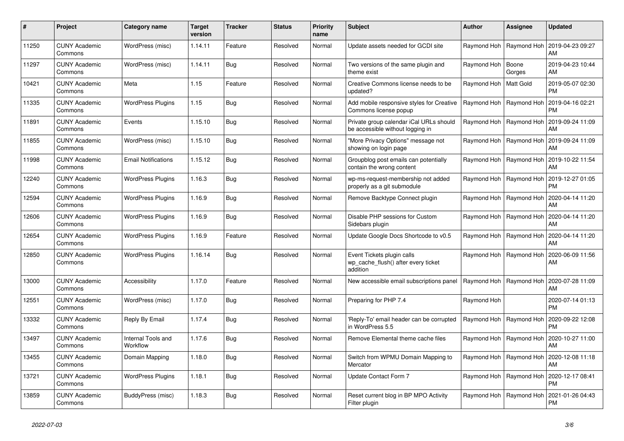| #     | Project                         | Category name                  | Target<br>version | <b>Tracker</b> | <b>Status</b> | <b>Priority</b><br>name | <b>Subject</b>                                                                | <b>Author</b>           | Assignee                  | <b>Updated</b>                |
|-------|---------------------------------|--------------------------------|-------------------|----------------|---------------|-------------------------|-------------------------------------------------------------------------------|-------------------------|---------------------------|-------------------------------|
| 11250 | <b>CUNY Academic</b><br>Commons | WordPress (misc)               | 1.14.11           | Feature        | Resolved      | Normal                  | Update assets needed for GCDI site                                            |                         | Raymond Hoh   Raymond Hoh | 2019-04-23 09:27<br>AM        |
| 11297 | <b>CUNY Academic</b><br>Commons | WordPress (misc)               | 1.14.11           | <b>Bug</b>     | Resolved      | Normal                  | Two versions of the same plugin and<br>theme exist                            | Raymond Hoh             | Boone<br>Gorges           | 2019-04-23 10:44<br>AM        |
| 10421 | <b>CUNY Academic</b><br>Commons | Meta                           | 1.15              | Feature        | Resolved      | Normal                  | Creative Commons license needs to be<br>updated?                              | Raymond Hoh   Matt Gold |                           | 2019-05-07 02:30<br><b>PM</b> |
| 11335 | <b>CUNY Academic</b><br>Commons | <b>WordPress Plugins</b>       | 1.15              | <b>Bug</b>     | Resolved      | Normal                  | Add mobile responsive styles for Creative<br>Commons license popup            |                         | Raymond Hoh   Raymond Hoh | 2019-04-16 02:21<br><b>PM</b> |
| 11891 | <b>CUNY Academic</b><br>Commons | Events                         | 1.15.10           | Bug            | Resolved      | Normal                  | Private group calendar iCal URLs should<br>be accessible without logging in   |                         | Raymond Hoh   Raymond Hoh | 2019-09-24 11:09<br>AM        |
| 11855 | <b>CUNY Academic</b><br>Commons | WordPress (misc)               | 1.15.10           | Bug            | Resolved      | Normal                  | 'More Privacy Options" message not<br>showing on login page                   |                         | Raymond Hoh   Raymond Hoh | 2019-09-24 11:09<br>AM        |
| 11998 | <b>CUNY Academic</b><br>Commons | <b>Email Notifications</b>     | 1.15.12           | <b>Bug</b>     | Resolved      | Normal                  | Groupblog post emails can potentially<br>contain the wrong content            |                         | Raymond Hoh   Raymond Hoh | 2019-10-22 11:54<br>AM        |
| 12240 | <b>CUNY Academic</b><br>Commons | <b>WordPress Plugins</b>       | 1.16.3            | Bug            | Resolved      | Normal                  | wp-ms-request-membership not added<br>properly as a git submodule             |                         | Raymond Hoh   Raymond Hoh | 2019-12-27 01:05<br><b>PM</b> |
| 12594 | <b>CUNY Academic</b><br>Commons | <b>WordPress Plugins</b>       | 1.16.9            | <b>Bug</b>     | Resolved      | Normal                  | Remove Backtype Connect plugin                                                |                         | Raymond Hoh   Raymond Hoh | 2020-04-14 11:20<br>AM        |
| 12606 | <b>CUNY Academic</b><br>Commons | <b>WordPress Plugins</b>       | 1.16.9            | Bug            | Resolved      | Normal                  | Disable PHP sessions for Custom<br>Sidebars plugin                            |                         | Raymond Hoh   Raymond Hoh | 2020-04-14 11:20<br>AM        |
| 12654 | <b>CUNY Academic</b><br>Commons | <b>WordPress Plugins</b>       | 1.16.9            | Feature        | Resolved      | Normal                  | Update Google Docs Shortcode to v0.5                                          |                         | Raymond Hoh   Raymond Hoh | 2020-04-14 11:20<br>AM        |
| 12850 | <b>CUNY Academic</b><br>Commons | <b>WordPress Plugins</b>       | 1.16.14           | <b>Bug</b>     | Resolved      | Normal                  | Event Tickets plugin calls<br>wp cache flush() after every ticket<br>addition |                         | Raymond Hoh   Raymond Hoh | 2020-06-09 11:56<br>AM        |
| 13000 | <b>CUNY Academic</b><br>Commons | Accessibility                  | 1.17.0            | Feature        | Resolved      | Normal                  | New accessible email subscriptions panel                                      |                         | Raymond Hoh   Raymond Hoh | 2020-07-28 11:09<br>AM        |
| 12551 | <b>CUNY Academic</b><br>Commons | WordPress (misc)               | 1.17.0            | <b>Bug</b>     | Resolved      | Normal                  | Preparing for PHP 7.4                                                         | Raymond Hoh             |                           | 2020-07-14 01:13<br><b>PM</b> |
| 13332 | <b>CUNY Academic</b><br>Commons | Reply By Email                 | 1.17.4            | Bug            | Resolved      | Normal                  | 'Reply-To' email header can be corrupted<br>in WordPress 5.5                  |                         | Raymond Hoh   Raymond Hoh | 2020-09-22 12:08<br><b>PM</b> |
| 13497 | <b>CUNY Academic</b><br>Commons | Internal Tools and<br>Workflow | 1.17.6            | <b>Bug</b>     | Resolved      | Normal                  | Remove Elemental theme cache files                                            |                         | Raymond Hoh   Raymond Hoh | 2020-10-27 11:00<br>AM        |
| 13455 | <b>CUNY Academic</b><br>Commons | Domain Mapping                 | 1.18.0            | <b>Bug</b>     | Resolved      | Normal                  | Switch from WPMU Domain Mapping to<br>Mercator                                |                         | Raymond Hoh   Raymond Hoh | 2020-12-08 11:18<br>AM        |
| 13721 | <b>CUNY Academic</b><br>Commons | <b>WordPress Plugins</b>       | 1.18.1            | Bug            | Resolved      | Normal                  | Update Contact Form 7                                                         |                         | Raymond Hoh   Raymond Hoh | 2020-12-17 08:41<br><b>PM</b> |
| 13859 | <b>CUNY Academic</b><br>Commons | BuddyPress (misc)              | 1.18.3            | Bug            | Resolved      | Normal                  | Reset current blog in BP MPO Activity<br>Filter plugin                        |                         | Raymond Hoh   Raymond Hoh | 2021-01-26 04:43<br><b>PM</b> |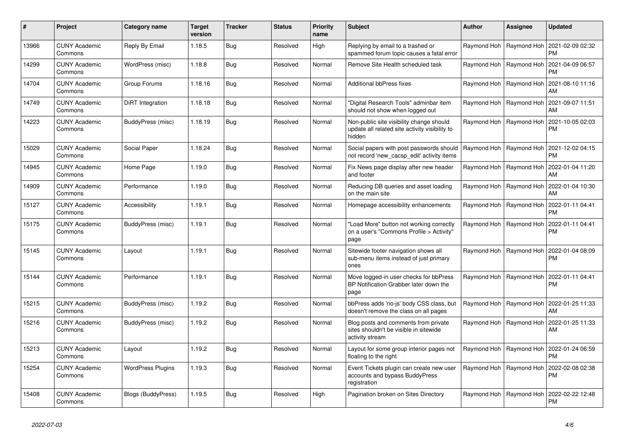| $\pmb{\#}$ | Project                         | Category name             | <b>Target</b><br>version | <b>Tracker</b> | <b>Status</b> | <b>Priority</b><br>name | <b>Subject</b>                                                                                       | <b>Author</b> | Assignee                  | <b>Updated</b>                |
|------------|---------------------------------|---------------------------|--------------------------|----------------|---------------|-------------------------|------------------------------------------------------------------------------------------------------|---------------|---------------------------|-------------------------------|
| 13966      | <b>CUNY Academic</b><br>Commons | Reply By Email            | 1.18.5                   | <b>Bug</b>     | Resolved      | High                    | Replying by email to a trashed or<br>spammed forum topic causes a fatal error                        |               | Raymond Hoh   Raymond Hoh | 2021-02-09 02:32<br><b>PM</b> |
| 14299      | <b>CUNY Academic</b><br>Commons | WordPress (misc)          | 1.18.8                   | Bug            | Resolved      | Normal                  | Remove Site Health scheduled task                                                                    |               | Raymond Hoh   Raymond Hoh | 2021-04-09 06:57<br><b>PM</b> |
| 14704      | <b>CUNY Academic</b><br>Commons | Group Forums              | 1.18.16                  | <b>Bug</b>     | Resolved      | Normal                  | Additional bbPress fixes                                                                             |               | Raymond Hoh   Raymond Hoh | 2021-08-10 11:16<br>AM        |
| 14749      | <b>CUNY Academic</b><br>Commons | DiRT Integration          | 1.18.18                  | Bug            | Resolved      | Normal                  | 'Digital Research Tools" adminbar item<br>should not show when logged out                            |               | Raymond Hoh   Raymond Hoh | 2021-09-07 11:51<br>AM        |
| 14223      | <b>CUNY Academic</b><br>Commons | BuddyPress (misc)         | 1.18.19                  | <b>Bug</b>     | Resolved      | Normal                  | Non-public site visibility change should<br>update all related site activity visibility to<br>hidden |               | Raymond Hoh   Raymond Hoh | 2021-10-05 02:03<br><b>PM</b> |
| 15029      | <b>CUNY Academic</b><br>Commons | Social Paper              | 1.18.24                  | <b>Bug</b>     | Resolved      | Normal                  | Social papers with post passwords should<br>not record 'new cacsp edit' activity items               |               | Raymond Hoh   Raymond Hoh | 2021-12-02 04:15<br><b>PM</b> |
| 14945      | <b>CUNY Academic</b><br>Commons | Home Page                 | 1.19.0                   | Bug            | Resolved      | Normal                  | Fix News page display after new header<br>and footer                                                 |               | Raymond Hoh   Raymond Hoh | 2022-01-04 11:20<br>AM        |
| 14909      | <b>CUNY Academic</b><br>Commons | Performance               | 1.19.0                   | <b>Bug</b>     | Resolved      | Normal                  | Reducing DB queries and asset loading<br>on the main site                                            |               | Raymond Hoh   Raymond Hoh | 2022-01-04 10:30<br>AM        |
| 15127      | <b>CUNY Academic</b><br>Commons | Accessibility             | 1.19.1                   | <b>Bug</b>     | Resolved      | Normal                  | Homepage accessibility enhancements                                                                  |               | Raymond Hoh   Raymond Hoh | 2022-01-11 04:41<br><b>PM</b> |
| 15175      | <b>CUNY Academic</b><br>Commons | BuddyPress (misc)         | 1.19.1                   | <b>Bug</b>     | Resolved      | Normal                  | "Load More" button not working correctly<br>on a user's "Commons Profile > Activity"<br>page         |               | Raymond Hoh   Raymond Hoh | 2022-01-11 04:41<br><b>PM</b> |
| 15145      | <b>CUNY Academic</b><br>Commons | Layout                    | 1.19.1                   | <b>Bug</b>     | Resolved      | Normal                  | Sitewide footer navigation shows all<br>sub-menu items instead of just primary<br>ones               |               | Raymond Hoh   Raymond Hoh | 2022-01-04 08:09<br><b>PM</b> |
| 15144      | <b>CUNY Academic</b><br>Commons | Performance               | 1.19.1                   | <b>Bug</b>     | Resolved      | Normal                  | Move logged-in user checks for bbPress<br>BP Notification Grabber later down the<br>page             |               | Raymond Hoh   Raymond Hoh | 2022-01-11 04:41<br><b>PM</b> |
| 15215      | <b>CUNY Academic</b><br>Commons | BuddyPress (misc)         | 1.19.2                   | <b>Bug</b>     | Resolved      | Normal                  | bbPress adds 'no-js' body CSS class, but<br>doesn't remove the class on all pages                    |               | Raymond Hoh   Raymond Hoh | 2022-01-25 11:33<br>AM        |
| 15216      | <b>CUNY Academic</b><br>Commons | BuddyPress (misc)         | 1.19.2                   | <b>Bug</b>     | Resolved      | Normal                  | Blog posts and comments from private<br>sites shouldn't be visible in sitewide<br>activity stream    |               | Raymond Hoh   Raymond Hoh | 2022-01-25 11:33<br>AM        |
| 15213      | <b>CUNY Academic</b><br>Commons | Layout                    | 1.19.2                   | Bug            | Resolved      | Normal                  | Layout for some group interior pages not<br>floating to the right                                    |               | Raymond Hoh   Raymond Hoh | 2022-01-24 06:59<br><b>PM</b> |
| 15254      | <b>CUNY Academic</b><br>Commons | <b>WordPress Plugins</b>  | 1.19.3                   | <b>Bug</b>     | Resolved      | Normal                  | Event Tickets plugin can create new user<br>accounts and bypass BuddyPress<br>registration           |               | Raymond Hoh   Raymond Hoh | 2022-02-08 02:38<br><b>PM</b> |
| 15408      | <b>CUNY Academic</b><br>Commons | <b>Blogs (BuddyPress)</b> | 1.19.5                   | Bug            | Resolved      | High                    | Pagination broken on Sites Directory                                                                 |               | Raymond Hoh   Raymond Hoh | 2022-02-22 12:48<br><b>PM</b> |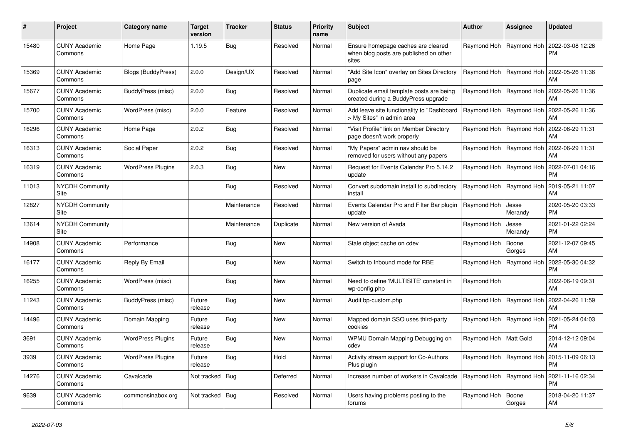| #     | <b>Project</b>                  | Category name            | <b>Target</b><br>version | <b>Tracker</b> | <b>Status</b> | <b>Priority</b><br>name | <b>Subject</b>                                                                        | Author                    | Assignee                  | <b>Updated</b>                |
|-------|---------------------------------|--------------------------|--------------------------|----------------|---------------|-------------------------|---------------------------------------------------------------------------------------|---------------------------|---------------------------|-------------------------------|
| 15480 | <b>CUNY Academic</b><br>Commons | Home Page                | 1.19.5                   | Bug            | Resolved      | Normal                  | Ensure homepage caches are cleared<br>when blog posts are published on other<br>sites | Raymond Hoh               | Raymond Hoh               | 2022-03-08 12:26<br><b>PM</b> |
| 15369 | <b>CUNY Academic</b><br>Commons | Blogs (BuddyPress)       | 2.0.0                    | Design/UX      | Resolved      | Normal                  | "Add Site Icon" overlay on Sites Directory<br>page                                    |                           | Raymond Hoh   Raymond Hoh | 2022-05-26 11:36<br>AM        |
| 15677 | <b>CUNY Academic</b><br>Commons | BuddyPress (misc)        | 2.0.0                    | Bug            | Resolved      | Normal                  | Duplicate email template posts are being<br>created during a BuddyPress upgrade       |                           | Raymond Hoh   Raymond Hoh | 2022-05-26 11:36<br>AM        |
| 15700 | <b>CUNY Academic</b><br>Commons | WordPress (misc)         | 2.0.0                    | Feature        | Resolved      | Normal                  | Add leave site functionality to "Dashboard<br>> My Sites" in admin area               | Raymond Hoh               | Raymond Hoh               | 2022-05-26 11:36<br>AM        |
| 16296 | <b>CUNY Academic</b><br>Commons | Home Page                | 2.0.2                    | Bug            | Resolved      | Normal                  | 'Visit Profile" link on Member Directory<br>page doesn't work properly                |                           | Raymond Hoh   Raymond Hoh | 2022-06-29 11:31<br>AM        |
| 16313 | <b>CUNY Academic</b><br>Commons | Social Paper             | 2.0.2                    | Bug            | Resolved      | Normal                  | "My Papers" admin nav should be<br>removed for users without any papers               |                           | Raymond Hoh   Raymond Hoh | 2022-06-29 11:31<br>AM        |
| 16319 | <b>CUNY Academic</b><br>Commons | <b>WordPress Plugins</b> | 2.0.3                    | Bug            | <b>New</b>    | Normal                  | Request for Events Calendar Pro 5.14.2<br>update                                      | Raymond Hoh               | Raymond Hoh               | 2022-07-01 04:16<br><b>PM</b> |
| 11013 | <b>NYCDH Community</b><br>Site  |                          |                          | Bug            | Resolved      | Normal                  | Convert subdomain install to subdirectory<br>install                                  |                           | Raymond Hoh   Raymond Hoh | 2019-05-21 11:07<br>AM        |
| 12827 | <b>NYCDH Community</b><br>Site  |                          |                          | Maintenance    | Resolved      | Normal                  | Events Calendar Pro and Filter Bar plugin<br>update                                   | Raymond Hoh               | Jesse<br>Merandy          | 2020-05-20 03:33<br><b>PM</b> |
| 13614 | <b>NYCDH Community</b><br>Site  |                          |                          | Maintenance    | Duplicate     | Normal                  | New version of Avada                                                                  | Raymond Hoh               | Jesse<br>Merandy          | 2021-01-22 02:24<br><b>PM</b> |
| 14908 | <b>CUNY Academic</b><br>Commons | Performance              |                          | <b>Bug</b>     | New           | Normal                  | Stale object cache on cdev                                                            | Raymond Hoh               | Boone<br>Gorges           | 2021-12-07 09:45<br>AM        |
| 16177 | <b>CUNY Academic</b><br>Commons | Reply By Email           |                          | <b>Bug</b>     | New           | Normal                  | Switch to Inbound mode for RBE                                                        | Raymond Hoh               | Raymond Hoh               | 2022-05-30 04:32<br><b>PM</b> |
| 16255 | <b>CUNY Academic</b><br>Commons | WordPress (misc)         |                          | Bug            | <b>New</b>    | Normal                  | Need to define 'MULTISITE' constant in<br>wp-config.php                               | Raymond Hoh               |                           | 2022-06-19 09:31<br>AM        |
| 11243 | <b>CUNY Academic</b><br>Commons | BuddyPress (misc)        | Future<br>release        | Bua            | <b>New</b>    | Normal                  | Audit bp-custom.php                                                                   | Raymond Hoh               | Raymond Hoh               | 2022-04-26 11:59<br>AM        |
| 14496 | <b>CUNY Academic</b><br>Commons | Domain Mapping           | Future<br>release        | Bug            | New           | Normal                  | Mapped domain SSO uses third-party<br>cookies                                         |                           | Raymond Hoh   Raymond Hoh | 2021-05-24 04:03<br><b>PM</b> |
| 3691  | <b>CUNY Academic</b><br>Commons | <b>WordPress Plugins</b> | Future<br>release        | Bug            | <b>New</b>    | Normal                  | WPMU Domain Mapping Debugging on<br>cdev                                              | Raymond Hoh   Matt Gold   |                           | 2014-12-12 09:04<br>AM        |
| 3939  | <b>CUNY Academic</b><br>Commons | <b>WordPress Plugins</b> | Future<br>release        | Bug            | Hold          | Normal                  | Activity stream support for Co-Authors<br>Plus plugin                                 |                           | Raymond Hoh   Raymond Hoh | 2015-11-09 06:13<br><b>PM</b> |
| 14276 | <b>CUNY Academic</b><br>Commons | Cavalcade                | Not tracked              | Bug            | Deferred      | Normal                  | Increase number of workers in Cavalcade                                               | Raymond Hoh   Raymond Hoh |                           | 2021-11-16 02:34<br><b>PM</b> |
| 9639  | <b>CUNY Academic</b><br>Commons | commonsinabox.org        | Not tracked   Bug        |                | Resolved      | Normal                  | Users having problems posting to the<br>forums                                        | Raymond Hoh               | Boone<br>Gorges           | 2018-04-20 11:37<br>AM        |